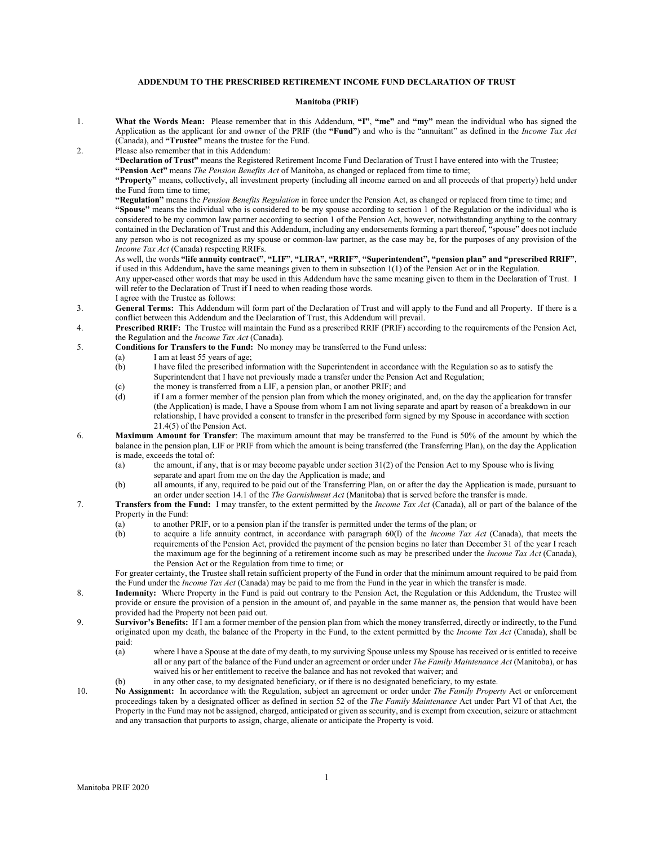## **ADDENDUM TO THE PRESCRIBED RETIREMENT INCOME FUND DECLARATION OF TRUST**

## **Manitoba (PRIF)**

- 1. **What the Words Mean:** Please remember that in this Addendum, **"I"**, **"me"** and **"my"** mean the individual who has signed the Application as the applicant for and owner of the PRIF (the **"Fund"**) and who is the "annuitant" as defined in the *Income Tax Act* (Canada), and **"Trustee"** means the trustee for the Fund.
- 2. Please also remember that in this Addendum:

**"Declaration of Trust"** means the Registered Retirement Income Fund Declaration of Trust I have entered into with the Trustee; **"Pension Act"** means *The Pension Benefits Act* of Manitoba, as changed or replaced from time to time;

**"Property"** means, collectively, all investment property (including all income earned on and all proceeds of that property) held under the Fund from time to time;

**"Regulation"** means the *Pension Benefits Regulation* in force under the Pension Act, as changed or replaced from time to time; and **"Spouse"** means the individual who is considered to be my spouse according to section 1 of the Regulation or the individual who is considered to be my common law partner according to section 1 of the Pension Act, however, notwithstanding anything to the contrary contained in the Declaration of Trust and this Addendum, including any endorsements forming a part thereof, "spouse" does not include any person who is not recognized as my spouse or common-law partner, as the case may be, for the purposes of any provision of the *Income Tax Act* (Canada) respecting RRIFs.

As well, the words **"life annuity contract"**, **"LIF"**, **"LIRA"**, **"RRIF"**, **"Superintendent", "pension plan" and "prescribed RRIF"**, if used in this Addendum**,** have the same meanings given to them in subsection 1(1) of the Pension Act or in the Regulation. Any upper-cased other words that may be used in this Addendum have the same meaning given to them in the Declaration of Trust. I

will refer to the Declaration of Trust if I need to when reading those words. I agree with the Trustee as follows:

- 3. **General Terms:** This Addendum will form part of the Declaration of Trust and will apply to the Fund and all Property. If there is a conflict between this Addendum and the Declaration of Trust, this Addendum will prevail.
- 4. **Prescribed RRIF:** The Trustee will maintain the Fund as a prescribed RRIF (PRIF) according to the requirements of the Pension Act, the Regulation and the *Income Tax Act* (Canada).
- 5. **Conditions for Transfers to the Fund:** No money may be transferred to the Fund unless:
	- (a) I am at least 55 years of age;
		- (b) I have filed the prescribed information with the Superintendent in accordance with the Regulation so as to satisfy the Superintendent that I have not previously made a transfer under the Pension Act and Regulation;
	- (c) the money is transferred from a LIF, a pension plan, or another PRIF; and (d) if I am a former member of the pension plan from which the money origin:
	- if I am a former member of the pension plan from which the money originated, and, on the day the application for transfer (the Application) is made, I have a Spouse from whom I am not living separate and apart by reason of a breakdown in our relationship, I have provided a consent to transfer in the prescribed form signed by my Spouse in accordance with section 21.4(5) of the Pension Act.
- 6. **Maximum Amount for Transfer**: The maximum amount that may be transferred to the Fund is 50% of the amount by which the balance in the pension plan, LIF or PRIF from which the amount is being transferred (the Transferring Plan), on the day the Application is made, exceeds the total of:
	- (a) the amount, if any, that is or may become payable under section 31(2) of the Pension Act to my Spouse who is living separate and apart from me on the day the Application is made; and
	- (b) all amounts, if any, required to be paid out of the Transferring Plan, on or after the day the Application is made, pursuant to an order under section 14.1 of the *The Garnishment Act* (Manitoba) that is served before the transfer is made.
- 7. **Transfers from the Fund:** I may transfer, to the extent permitted by the *Income Tax Act* (Canada), all or part of the balance of the Property in the Fund:
	- (a) to another PRIF, or to a pension plan if the transfer is permitted under the terms of the plan; or (b) to acquire a life annuity contract, in accordance with paragraph  $60(1)$  of the *Income Tax A* 
		- (b) to acquire a life annuity contract, in accordance with paragraph 60(l) of the *Income Tax Act* (Canada), that meets the requirements of the Pension Act, provided the payment of the pension begins no later than December 31 of the year I reach the maximum age for the beginning of a retirement income such as may be prescribed under the *Income Tax Act* (Canada), the Pension Act or the Regulation from time to time; or

For greater certainty, the Trustee shall retain sufficient property of the Fund in order that the minimum amount required to be paid from the Fund under the *Income Tax Act* (Canada) may be paid to me from the Fund in the year in which the transfer is made.

- 8. **Indemnity:** Where Property in the Fund is paid out contrary to the Pension Act, the Regulation or this Addendum, the Trustee will provide or ensure the provision of a pension in the amount of, and payable in the same manner as, the pension that would have been provided had the Property not been paid out.
- 9. **Survivor's Benefits:** If I am a former member of the pension plan from which the money transferred, directly or indirectly, to the Fund originated upon my death, the balance of the Property in the Fund, to the extent permitted by the *Income Tax Act* (Canada), shall be paid:<br>(a)
	- where I have a Spouse at the date of my death, to my surviving Spouse unless my Spouse has received or is entitled to receive all or any part of the balance of the Fund under an agreement or order under *The Family Maintenance Act* (Manitoba), or has waived his or her entitlement to receive the balance and has not revoked that waiver; and
	- (b) in any other case, to my designated beneficiary, or if there is no designated beneficiary, to my estate.
- 10. **No Assignment:** In accordance with the Regulation, subject an agreement or order under *The Family Property* Act or enforcement proceedings taken by a designated officer as defined in section 52 of the *The Family Maintenance* Act under Part VI of that Act, the Property in the Fund may not be assigned, charged, anticipated or given as security, and is exempt from execution, seizure or attachment and any transaction that purports to assign, charge, alienate or anticipate the Property is void.